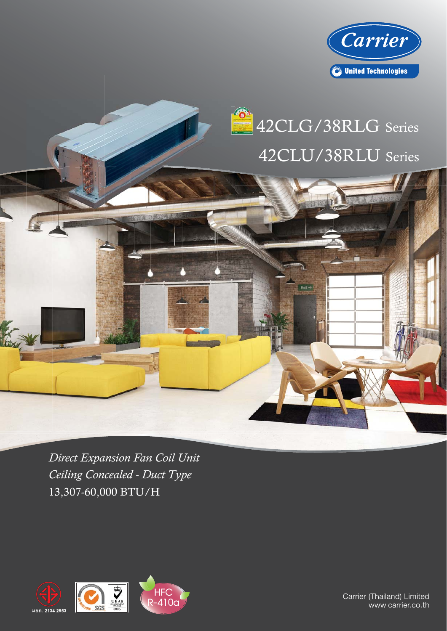



 $Ext -$ 

13,307-60,000 BTU/H *Direct Expansion Fan Coil Unit Ceiling Concealed - Duct Type*



Carrier (Thailand) Limited www.carrier.co.th